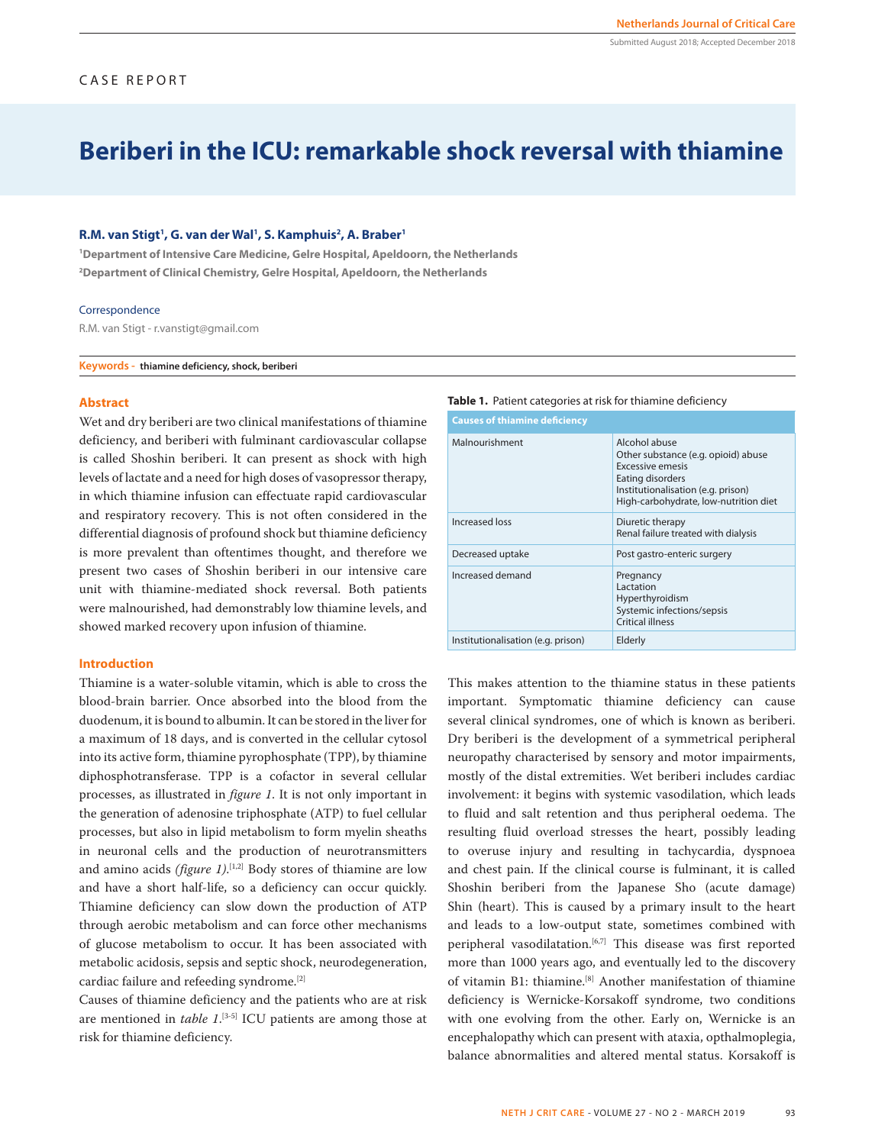# **Beriberi in the ICU: remarkable shock reversal with thiamine**

## **R.M. van Stigt<sup>1</sup>, G. van der Wal<sup>1</sup>, S. Kamphuis<sup>2</sup>, A. Braber<sup>1</sup>**

**1 Department of Intensive Care Medicine, Gelre Hospital, Apeldoorn, the Netherlands 2 Department of Clinical Chemistry, Gelre Hospital, Apeldoorn, the Netherlands**

#### **Correspondence**

R.M. van Stigt - r.vanstigt@gmail.com

**Keywords - thiamine deficiency, shock, beriberi**

### **Abstract**

Wet and dry beriberi are two clinical manifestations of thiamine deficiency, and beriberi with fulminant cardiovascular collapse is called Shoshin beriberi. It can present as shock with high levels of lactate and a need for high doses of vasopressor therapy, in which thiamine infusion can effectuate rapid cardiovascular and respiratory recovery. This is not often considered in the differential diagnosis of profound shock but thiamine deficiency is more prevalent than oftentimes thought, and therefore we present two cases of Shoshin beriberi in our intensive care unit with thiamine-mediated shock reversal. Both patients were malnourished, had demonstrably low thiamine levels, and showed marked recovery upon infusion of thiamine.

#### **Introduction**

Thiamine is a water-soluble vitamin, which is able to cross the blood-brain barrier. Once absorbed into the blood from the duodenum, it is bound to albumin. It can be stored in the liver for a maximum of 18 days, and is converted in the cellular cytosol into its active form, thiamine pyrophosphate (TPP), by thiamine diphosphotransferase. TPP is a cofactor in several cellular processes, as illustrated in *figure 1*. It is not only important in the generation of adenosine triphosphate (ATP) to fuel cellular processes, but also in lipid metabolism to form myelin sheaths in neuronal cells and the production of neurotransmitters and amino acids *(figure 1)*. [1,2] Body stores of thiamine are low and have a short half-life, so a deficiency can occur quickly. Thiamine deficiency can slow down the production of ATP through aerobic metabolism and can force other mechanisms of glucose metabolism to occur. It has been associated with metabolic acidosis, sepsis and septic shock, neurodegeneration, cardiac failure and refeeding syndrome.[2]

Causes of thiamine deficiency and the patients who are at risk are mentioned in *table 1*. [3-5] ICU patients are among those at risk for thiamine deficiency.

## **Table 1.** Patient categories at risk for thiamine deficiency

| <b>Causes of thiamine deficiency</b> |                                                                                                                                                                             |  |  |
|--------------------------------------|-----------------------------------------------------------------------------------------------------------------------------------------------------------------------------|--|--|
| Malnourishment                       | Alcohol abuse<br>Other substance (e.g. opioid) abuse<br>Excessive emesis<br>Eating disorders<br>Institutionalisation (e.g. prison)<br>High-carbohydrate, low-nutrition diet |  |  |
| Increased loss                       | Diuretic therapy<br>Renal failure treated with dialysis                                                                                                                     |  |  |
| Decreased uptake                     | Post gastro-enteric surgery                                                                                                                                                 |  |  |
| Increased demand                     | Pregnancy<br>Lactation<br>Hyperthyroidism<br>Systemic infections/sepsis<br>Critical illness                                                                                 |  |  |
| Institutionalisation (e.g. prison)   | Elderly                                                                                                                                                                     |  |  |

This makes attention to the thiamine status in these patients important. Symptomatic thiamine deficiency can cause several clinical syndromes, one of which is known as beriberi. Dry beriberi is the development of a symmetrical peripheral neuropathy characterised by sensory and motor impairments, mostly of the distal extremities. Wet beriberi includes cardiac involvement: it begins with systemic vasodilation, which leads to fluid and salt retention and thus peripheral oedema. The resulting fluid overload stresses the heart, possibly leading to overuse injury and resulting in tachycardia, dyspnoea and chest pain. If the clinical course is fulminant, it is called Shoshin beriberi from the Japanese Sho (acute damage) Shin (heart). This is caused by a primary insult to the heart and leads to a low-output state, sometimes combined with peripheral vasodilatation.<sup>[6,7]</sup> This disease was first reported more than 1000 years ago, and eventually led to the discovery of vitamin B1: thiamine.[8] Another manifestation of thiamine deficiency is Wernicke-Korsakoff syndrome, two conditions with one evolving from the other. Early on, Wernicke is an encephalopathy which can present with ataxia, opthalmoplegia, balance abnormalities and altered mental status. Korsakoff is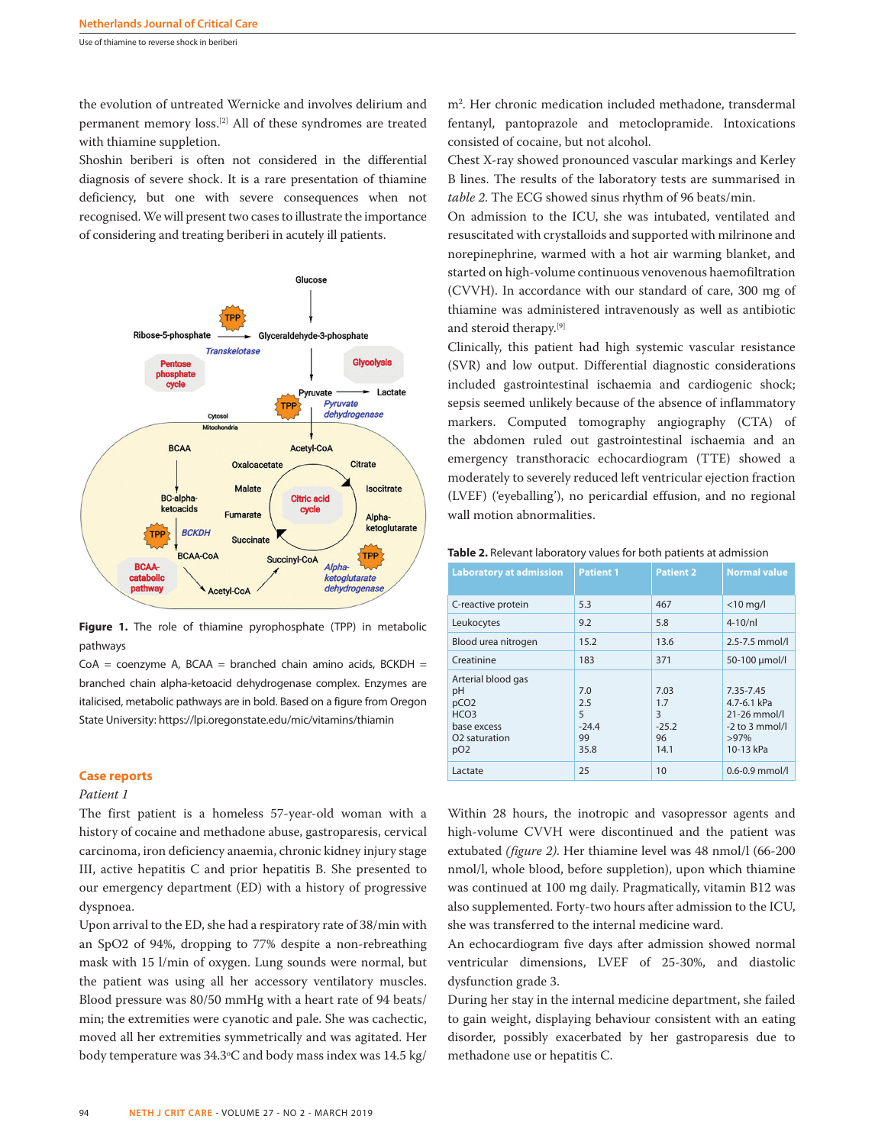Use of thiamine to reverse shock in beriberi

the evolution of untreated Wernicke and involves delirium and permanent memory loss.[2] All of these syndromes are treated with thiamine suppletion.

Shoshin beriberi is often not considered in the differential diagnosis of severe shock. It is a rare presentation of thiamine deficiency, but one with severe consequences when not recognised. We will present two cases to illustrate the importance of considering and treating beriberi in acutely ill patients.



**Figure 1.** The role of thiamine pyrophosphate (TPP) in metabolic pathways

 $CoA = coenzyme A$ , BCAA = branched chain amino acids, BCKDH = branched chain alpha-ketoacid dehydrogenase complex. Enzymes are italicised, metabolic pathways are in bold. Based on a figure from Oregon State University: https://lpi.oregonstate.edu/mic/vitamins/thiamin

## **Case reports**

## *Patient 1*

The first patient is a homeless 57-year-old woman with a history of cocaine and methadone abuse, gastroparesis, cervical carcinoma, iron deficiency anaemia, chronic kidney injury stage III, active hepatitis C and prior hepatitis B. She presented to our emergency department (ED) with a history of progressive dyspnoea.

Upon arrival to the ED, she had a respiratory rate of 38/min with an SpO2 of 94%, dropping to 77% despite a non-rebreathing mask with 15 l/min of oxygen. Lung sounds were normal, but the patient was using all her accessory ventilatory muscles. Blood pressure was 80/50 mmHg with a heart rate of 94 beats/ min; the extremities were cyanotic and pale. She was cachectic, moved all her extremities symmetrically and was agitated. Her body temperature was 34.3°C and body mass index was 14.5 kg/

m2 . Her chronic medication included methadone, transdermal fentanyl, pantoprazole and metoclopramide. Intoxications consisted of cocaine, but not alcohol.

Chest X-ray showed pronounced vascular markings and Kerley B lines. The results of the laboratory tests are summarised in *table 2*. The ECG showed sinus rhythm of 96 beats/min.

On admission to the ICU, she was intubated, ventilated and resuscitated with crystalloids and supported with milrinone and norepinephrine, warmed with a hot air warming blanket, and started on high-volume continuous venovenous haemofiltration (CVVH). In accordance with our standard of care, 300 mg of thiamine was administered intravenously as well as antibiotic and steroid therapy.[9]

Clinically, this patient had high systemic vascular resistance (SVR) and low output. Differential diagnostic considerations included gastrointestinal ischaemia and cardiogenic shock; sepsis seemed unlikely because of the absence of inflammatory markers. Computed tomography angiography (CTA) of the abdomen ruled out gastrointestinal ischaemia and an emergency transthoracic echocardiogram (TTE) showed a moderately to severely reduced left ventricular ejection fraction (LVEF) ('eyeballing'), no pericardial effusion, and no regional wall motion abnormalities.

| Table 2. Relevant laboratory values for both patients at admission |  |  |
|--------------------------------------------------------------------|--|--|
|--------------------------------------------------------------------|--|--|

| <b>Laboratory at admission</b>                                                                                                  | <b>Patient 1</b>                         | <b>Patient 2</b>                          | <b>Normal value</b>                                                                |
|---------------------------------------------------------------------------------------------------------------------------------|------------------------------------------|-------------------------------------------|------------------------------------------------------------------------------------|
| C-reactive protein                                                                                                              | 5.3                                      | 467                                       | $<$ 10 mg/l                                                                        |
| Leukocytes                                                                                                                      | 9.2                                      | 5.8                                       | $4-10/nl$                                                                          |
| Blood urea nitrogen                                                                                                             | 15.2                                     | 13.6                                      | 2.5-7.5 mmol/l                                                                     |
| Creatinine                                                                                                                      | 183                                      | 371                                       | 50-100 µmol/l                                                                      |
| Arterial blood gas<br>pH<br>pCO <sub>2</sub><br>HCO <sub>3</sub><br>base excess<br>O <sub>2</sub> saturation<br>pO <sub>2</sub> | 7.0<br>2.5<br>5<br>$-24.4$<br>99<br>35.8 | 7.03<br>1.7<br>3<br>$-25.2$<br>96<br>14.1 | 7.35-7.45<br>4.7-6.1 kPa<br>$21-26$ mmol/l<br>$-2$ to 3 mmol/<br>>97%<br>10-13 kPa |
| Lactate                                                                                                                         | 25                                       | 10                                        | $0.6 - 0.9$ mmol/l                                                                 |

Within 28 hours, the inotropic and vasopressor agents and high-volume CVVH were discontinued and the patient was extubated *(figure 2)*. Her thiamine level was 48 nmol/l (66-200 nmol/l, whole blood, before suppletion), upon which thiamine was continued at 100 mg daily. Pragmatically, vitamin B12 was also supplemented. Forty-two hours after admission to the ICU, she was transferred to the internal medicine ward.

An echocardiogram five days after admission showed normal ventricular dimensions, LVEF of 25-30%, and diastolic dysfunction grade 3.

During her stay in the internal medicine department, she failed to gain weight, displaying behaviour consistent with an eating disorder, possibly exacerbated by her gastroparesis due to methadone use or hepatitis C.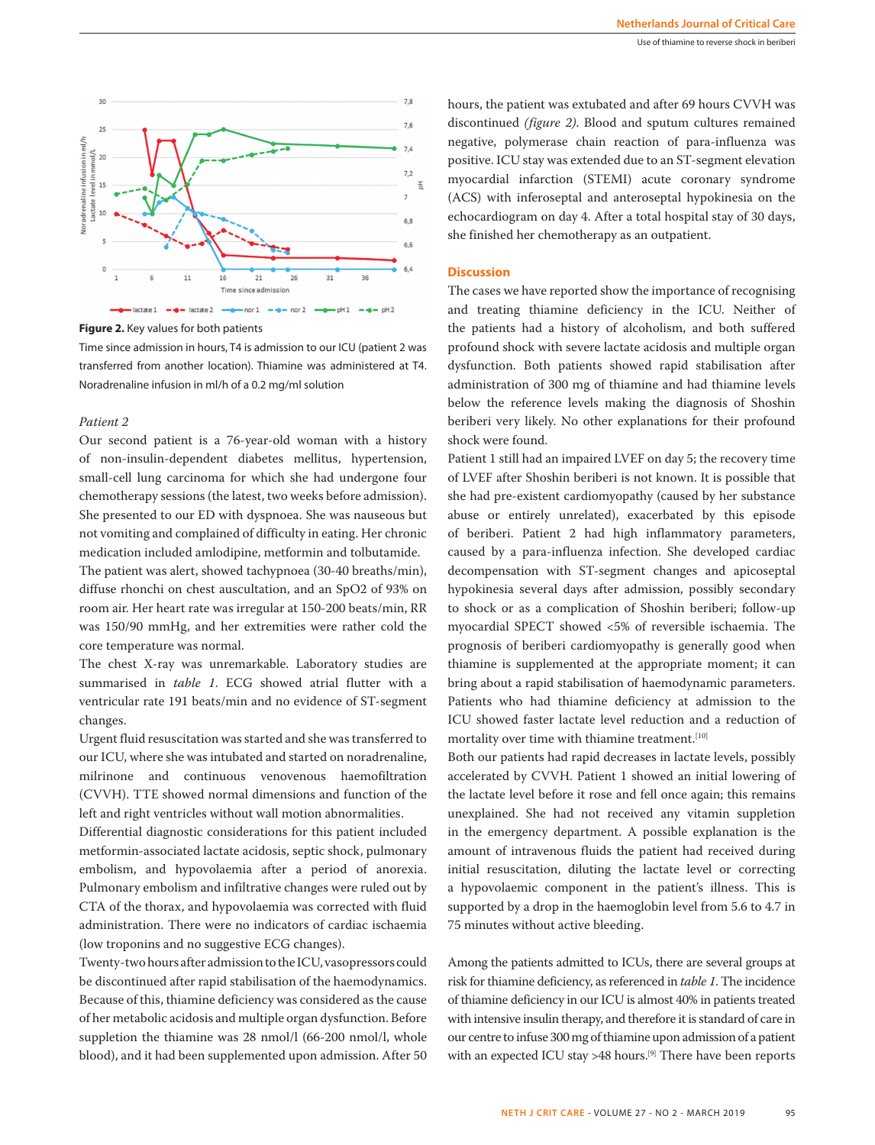

**Figure 2.** Key values for both patients

Time since admission in hours, T4 is admission to our ICU (patient 2 was transferred from another location). Thiamine was administered at T4. Noradrenaline infusion in ml/h of a 0.2 mg/ml solution

## *Patient 2*

Our second patient is a 76-year-old woman with a history of non-insulin-dependent diabetes mellitus, hypertension, small-cell lung carcinoma for which she had undergone four chemotherapy sessions (the latest, two weeks before admission). She presented to our ED with dyspnoea. She was nauseous but not vomiting and complained of difficulty in eating. Her chronic medication included amlodipine, metformin and tolbutamide.

The patient was alert, showed tachypnoea (30-40 breaths/min), diffuse rhonchi on chest auscultation, and an SpO2 of 93% on room air. Her heart rate was irregular at 150-200 beats/min, RR was 150/90 mmHg, and her extremities were rather cold the core temperature was normal.

The chest X-ray was unremarkable. Laboratory studies are summarised in *table 1*. ECG showed atrial flutter with a ventricular rate 191 beats/min and no evidence of ST-segment changes.

Urgent fluid resuscitation was started and she was transferred to our ICU, where she was intubated and started on noradrenaline, milrinone and continuous venovenous haemofiltration (CVVH). TTE showed normal dimensions and function of the left and right ventricles without wall motion abnormalities.

Differential diagnostic considerations for this patient included metformin-associated lactate acidosis, septic shock, pulmonary embolism, and hypovolaemia after a period of anorexia. Pulmonary embolism and infiltrative changes were ruled out by CTA of the thorax, and hypovolaemia was corrected with fluid administration. There were no indicators of cardiac ischaemia (low troponins and no suggestive ECG changes).

Twenty-two hours after admission to the ICU, vasopressors could be discontinued after rapid stabilisation of the haemodynamics. Because of this, thiamine deficiency was considered as the cause of her metabolic acidosis and multiple organ dysfunction. Before suppletion the thiamine was 28 nmol/l (66-200 nmol/l, whole blood), and it had been supplemented upon admission. After 50 hours, the patient was extubated and after 69 hours CVVH was discontinued *(figure 2)*. Blood and sputum cultures remained negative, polymerase chain reaction of para-influenza was positive. ICU stay was extended due to an ST-segment elevation myocardial infarction (STEMI) acute coronary syndrome (ACS) with inferoseptal and anteroseptal hypokinesia on the echocardiogram on day 4. After a total hospital stay of 30 days, she finished her chemotherapy as an outpatient.

# **Discussion**

The cases we have reported show the importance of recognising and treating thiamine deficiency in the ICU. Neither of the patients had a history of alcoholism, and both suffered profound shock with severe lactate acidosis and multiple organ dysfunction. Both patients showed rapid stabilisation after administration of 300 mg of thiamine and had thiamine levels below the reference levels making the diagnosis of Shoshin beriberi very likely. No other explanations for their profound shock were found.

Patient 1 still had an impaired LVEF on day 5; the recovery time of LVEF after Shoshin beriberi is not known. It is possible that she had pre-existent cardiomyopathy (caused by her substance abuse or entirely unrelated), exacerbated by this episode of beriberi. Patient 2 had high inflammatory parameters, caused by a para-influenza infection. She developed cardiac decompensation with ST-segment changes and apicoseptal hypokinesia several days after admission, possibly secondary to shock or as a complication of Shoshin beriberi; follow-up myocardial SPECT showed <5% of reversible ischaemia. The prognosis of beriberi cardiomyopathy is generally good when thiamine is supplemented at the appropriate moment; it can bring about a rapid stabilisation of haemodynamic parameters. Patients who had thiamine deficiency at admission to the ICU showed faster lactate level reduction and a reduction of mortality over time with thiamine treatment.<sup>[10]</sup>

Both our patients had rapid decreases in lactate levels, possibly accelerated by CVVH. Patient 1 showed an initial lowering of the lactate level before it rose and fell once again; this remains unexplained. She had not received any vitamin suppletion in the emergency department. A possible explanation is the amount of intravenous fluids the patient had received during initial resuscitation, diluting the lactate level or correcting a hypovolaemic component in the patient's illness. This is supported by a drop in the haemoglobin level from 5.6 to 4.7 in 75 minutes without active bleeding.

Among the patients admitted to ICUs, there are several groups at risk for thiamine deficiency, as referenced in *table 1*. The incidence of thiamine deficiency in our ICU is almost 40% in patients treated with intensive insulin therapy, and therefore it is standard of care in our centre to infuse 300 mg of thiamine upon admission of a patient with an expected ICU stay >48 hours.<sup>[9]</sup> There have been reports